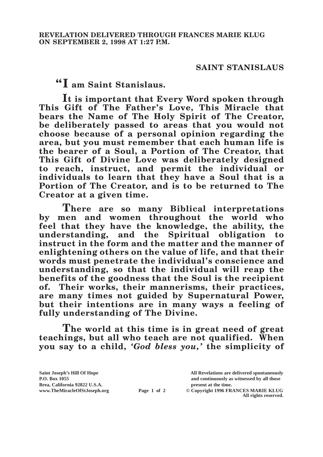## **SAINT STANISLAUS**

**"I am Saint Stanislaus.**

**It is important that Every Word spoken through This Gift of The Father's Love, This Miracle that bears the Name of The Holy Spirit of The Creator, be deliberately passed to areas that you would not choose because of a personal opinion regarding the area, but you must remember that each human life is the bearer of a Soul, a Portion of The Creator, that This Gift of Divine Love was deliberately designed to reach, instruct, and permit the individual or individuals to learn that they have a Soul that is a Portion of The Creator, and is to be returned to The Creator at a given time.**

**There are so many Biblical interpretations by men and women throughout the world who feel that they have the knowledge, the ability, the understanding, and the Spiritual obligation to instruct in the form and the matter and the manner of enlightening others on the value of life, and that their words must penetrate the individual's conscience and understanding, so that the individual will reap the benefits of the goodness that the Soul is the recipient of. Their works, their mannerisms, their practices, are many times not guided by Supernatural Power, but their intentions are in many ways a feeling of fully understanding of The Divine.**

**The world at this time is in great need of great teachings, but all who teach are not qualified. When you say to a child,** *'God bless you,'* **the simplicity of** 

| Saint Joseph's Hill Of Hope   |             | All Revelations are delivered spontaneously |
|-------------------------------|-------------|---------------------------------------------|
| P.O. Box 1055                 |             | and continuously as witnessed by all those  |
| Brea, California 92822 U.S.A. |             | present at the time.                        |
| www.TheMiracleOfStJoseph.org  | Page 1 of 2 | © Copyright 1996 FRANCES MARIE KLUG         |
|                               |             | All rights reserved.                        |